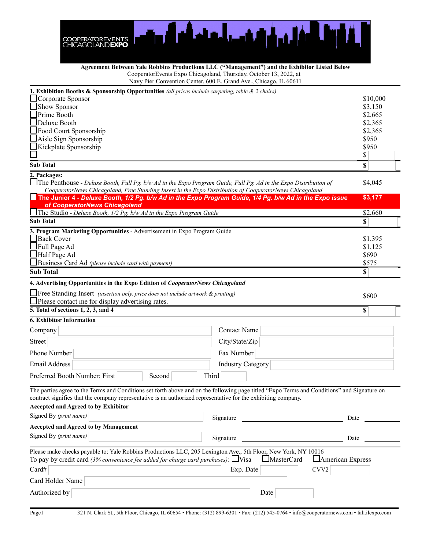

| Agreement Between Yale Robbins Productions LLC ("Management") and the Exhibitor Listed Below                                                                                                                                                                                             |
|------------------------------------------------------------------------------------------------------------------------------------------------------------------------------------------------------------------------------------------------------------------------------------------|
| CooperatorEvents Expo Chicagoland, Thursday, October 13, 2022, at                                                                                                                                                                                                                        |
| $\mathbb{R}^n$ and $\mathbb{R}^n$ and $\mathbb{R}^n$ and $\mathbb{R}^n$ and $\mathbb{R}^n$ and $\mathbb{R}^n$ and $\mathbb{R}^n$ and $\mathbb{R}^n$ and $\mathbb{R}^n$ and $\mathbb{R}^n$ and $\mathbb{R}^n$ and $\mathbb{R}^n$ and $\mathbb{R}^n$ and $\mathbb{R}^n$ and $\mathbb{R}^n$ |

ier Convention Center, 600 E. Grand Ave., Chicago, IL 60611

| <b>1. Exhibition Booths &amp; Sponsorship Opportunities</b> (all prices include carpeting, table $\&$ 2 chairs)<br>$\Box$ Corporate Sponsor<br>\$10,000<br>Show Sponsor<br>\$3,150<br>Prime Booth<br>\$2,665<br>Deluxe Booth<br>\$2,365<br>Food Court Sponsorship<br>\$2,365<br>\$950<br>Aisle Sign Sponsorship<br>Kickplate Sponsorship<br>\$950<br>\$<br>\$<br><b>Sub Total</b><br>2. Packages:<br>$\Box$ The Penthouse - Deluxe Booth, Full Pg. b/w Ad in the Expo Program Guide, Full Pg. Ad in the Expo Distribution of<br>\$4,045<br>CooperatorNews Chicagoland, Free Standing Insert in the Expo Distribution of CooperatorNews Chicagoland<br>The Junior 4 - Deluxe Booth, 1/2 Pg. b/w Ad in the Expo Program Guide, 1/4 Pg. b/w Ad in the Expo issue<br>\$3,177<br>of CooperatorNews Chicagoland<br>\$2,660<br>The Studio - Deluxe Booth, 1/2 Pg. b/w Ad in the Expo Program Guide<br><b>Sub Total</b><br>\$<br>3. Program Marketing Opportunities - Advertisement in Expo Program Guide<br>Back Cover<br>\$1,395<br>Full Page Ad<br>\$1,125<br>Half Page Ad<br>\$690<br>Business Card Ad (please include card with payment)<br>\$575<br><b>Sub Total</b><br>$\boldsymbol{\mathsf{S}}$<br>4. Advertising Opportunities in the Expo Edition of CooperatorNews Chicagoland<br>\$600<br>$\Box$ Please contact me for display advertising rates.<br>5. Total of sections 1, 2, 3, and 4<br>\$<br><b>Contact Name</b><br><b>Street</b><br>City/State/Zip<br>Fax Number<br><b>Industry Category</b><br>Third<br>Second<br>The parties agree to the Terms and Conditions set forth above and on the following page titled "Expo Terms and Conditions" and Signature on<br>contract signifies that the company representative is an authorized representative for the exhibiting company.<br><b>Accepted and Agreed to by Exhibitor</b><br>Signed By (print name)<br>Signature<br>Date<br><b>Accepted and Agreed to by Management</b><br>Signed By (print name)<br>Signature<br>Date<br>Please make checks payable to: Yale Robbins Productions LLC, 205 Lexington Ave., 5th Floor, New York, NY 10016<br>To pay by credit card (3% convenience fee added for charge card purchases): $\Box$ Visa<br>MasterCard<br>American Express<br>Exp. Date<br>CVV <sub>2</sub><br>Card#<br>Card Holder Name<br>Authorized by<br>Date |                                                                                         |  | $1.44$ , $1.161$ Convention Center, 000 E. Grand Tive., Chreago, 12 00011 |  |  |  |
|-----------------------------------------------------------------------------------------------------------------------------------------------------------------------------------------------------------------------------------------------------------------------------------------------------------------------------------------------------------------------------------------------------------------------------------------------------------------------------------------------------------------------------------------------------------------------------------------------------------------------------------------------------------------------------------------------------------------------------------------------------------------------------------------------------------------------------------------------------------------------------------------------------------------------------------------------------------------------------------------------------------------------------------------------------------------------------------------------------------------------------------------------------------------------------------------------------------------------------------------------------------------------------------------------------------------------------------------------------------------------------------------------------------------------------------------------------------------------------------------------------------------------------------------------------------------------------------------------------------------------------------------------------------------------------------------------------------------------------------------------------------------------------------------------------------------------------------------------------------------------------------------------------------------------------------------------------------------------------------------------------------------------------------------------------------------------------------------------------------------------------------------------------------------------------------------------------------------------------------------------------------------------------------------------------------------------------|-----------------------------------------------------------------------------------------|--|---------------------------------------------------------------------------|--|--|--|
|                                                                                                                                                                                                                                                                                                                                                                                                                                                                                                                                                                                                                                                                                                                                                                                                                                                                                                                                                                                                                                                                                                                                                                                                                                                                                                                                                                                                                                                                                                                                                                                                                                                                                                                                                                                                                                                                                                                                                                                                                                                                                                                                                                                                                                                                                                                             |                                                                                         |  |                                                                           |  |  |  |
|                                                                                                                                                                                                                                                                                                                                                                                                                                                                                                                                                                                                                                                                                                                                                                                                                                                                                                                                                                                                                                                                                                                                                                                                                                                                                                                                                                                                                                                                                                                                                                                                                                                                                                                                                                                                                                                                                                                                                                                                                                                                                                                                                                                                                                                                                                                             |                                                                                         |  |                                                                           |  |  |  |
|                                                                                                                                                                                                                                                                                                                                                                                                                                                                                                                                                                                                                                                                                                                                                                                                                                                                                                                                                                                                                                                                                                                                                                                                                                                                                                                                                                                                                                                                                                                                                                                                                                                                                                                                                                                                                                                                                                                                                                                                                                                                                                                                                                                                                                                                                                                             |                                                                                         |  |                                                                           |  |  |  |
|                                                                                                                                                                                                                                                                                                                                                                                                                                                                                                                                                                                                                                                                                                                                                                                                                                                                                                                                                                                                                                                                                                                                                                                                                                                                                                                                                                                                                                                                                                                                                                                                                                                                                                                                                                                                                                                                                                                                                                                                                                                                                                                                                                                                                                                                                                                             |                                                                                         |  |                                                                           |  |  |  |
|                                                                                                                                                                                                                                                                                                                                                                                                                                                                                                                                                                                                                                                                                                                                                                                                                                                                                                                                                                                                                                                                                                                                                                                                                                                                                                                                                                                                                                                                                                                                                                                                                                                                                                                                                                                                                                                                                                                                                                                                                                                                                                                                                                                                                                                                                                                             |                                                                                         |  |                                                                           |  |  |  |
|                                                                                                                                                                                                                                                                                                                                                                                                                                                                                                                                                                                                                                                                                                                                                                                                                                                                                                                                                                                                                                                                                                                                                                                                                                                                                                                                                                                                                                                                                                                                                                                                                                                                                                                                                                                                                                                                                                                                                                                                                                                                                                                                                                                                                                                                                                                             |                                                                                         |  |                                                                           |  |  |  |
|                                                                                                                                                                                                                                                                                                                                                                                                                                                                                                                                                                                                                                                                                                                                                                                                                                                                                                                                                                                                                                                                                                                                                                                                                                                                                                                                                                                                                                                                                                                                                                                                                                                                                                                                                                                                                                                                                                                                                                                                                                                                                                                                                                                                                                                                                                                             |                                                                                         |  |                                                                           |  |  |  |
|                                                                                                                                                                                                                                                                                                                                                                                                                                                                                                                                                                                                                                                                                                                                                                                                                                                                                                                                                                                                                                                                                                                                                                                                                                                                                                                                                                                                                                                                                                                                                                                                                                                                                                                                                                                                                                                                                                                                                                                                                                                                                                                                                                                                                                                                                                                             |                                                                                         |  |                                                                           |  |  |  |
|                                                                                                                                                                                                                                                                                                                                                                                                                                                                                                                                                                                                                                                                                                                                                                                                                                                                                                                                                                                                                                                                                                                                                                                                                                                                                                                                                                                                                                                                                                                                                                                                                                                                                                                                                                                                                                                                                                                                                                                                                                                                                                                                                                                                                                                                                                                             |                                                                                         |  |                                                                           |  |  |  |
|                                                                                                                                                                                                                                                                                                                                                                                                                                                                                                                                                                                                                                                                                                                                                                                                                                                                                                                                                                                                                                                                                                                                                                                                                                                                                                                                                                                                                                                                                                                                                                                                                                                                                                                                                                                                                                                                                                                                                                                                                                                                                                                                                                                                                                                                                                                             |                                                                                         |  |                                                                           |  |  |  |
|                                                                                                                                                                                                                                                                                                                                                                                                                                                                                                                                                                                                                                                                                                                                                                                                                                                                                                                                                                                                                                                                                                                                                                                                                                                                                                                                                                                                                                                                                                                                                                                                                                                                                                                                                                                                                                                                                                                                                                                                                                                                                                                                                                                                                                                                                                                             |                                                                                         |  |                                                                           |  |  |  |
|                                                                                                                                                                                                                                                                                                                                                                                                                                                                                                                                                                                                                                                                                                                                                                                                                                                                                                                                                                                                                                                                                                                                                                                                                                                                                                                                                                                                                                                                                                                                                                                                                                                                                                                                                                                                                                                                                                                                                                                                                                                                                                                                                                                                                                                                                                                             |                                                                                         |  |                                                                           |  |  |  |
|                                                                                                                                                                                                                                                                                                                                                                                                                                                                                                                                                                                                                                                                                                                                                                                                                                                                                                                                                                                                                                                                                                                                                                                                                                                                                                                                                                                                                                                                                                                                                                                                                                                                                                                                                                                                                                                                                                                                                                                                                                                                                                                                                                                                                                                                                                                             |                                                                                         |  |                                                                           |  |  |  |
|                                                                                                                                                                                                                                                                                                                                                                                                                                                                                                                                                                                                                                                                                                                                                                                                                                                                                                                                                                                                                                                                                                                                                                                                                                                                                                                                                                                                                                                                                                                                                                                                                                                                                                                                                                                                                                                                                                                                                                                                                                                                                                                                                                                                                                                                                                                             |                                                                                         |  |                                                                           |  |  |  |
|                                                                                                                                                                                                                                                                                                                                                                                                                                                                                                                                                                                                                                                                                                                                                                                                                                                                                                                                                                                                                                                                                                                                                                                                                                                                                                                                                                                                                                                                                                                                                                                                                                                                                                                                                                                                                                                                                                                                                                                                                                                                                                                                                                                                                                                                                                                             |                                                                                         |  |                                                                           |  |  |  |
|                                                                                                                                                                                                                                                                                                                                                                                                                                                                                                                                                                                                                                                                                                                                                                                                                                                                                                                                                                                                                                                                                                                                                                                                                                                                                                                                                                                                                                                                                                                                                                                                                                                                                                                                                                                                                                                                                                                                                                                                                                                                                                                                                                                                                                                                                                                             |                                                                                         |  |                                                                           |  |  |  |
|                                                                                                                                                                                                                                                                                                                                                                                                                                                                                                                                                                                                                                                                                                                                                                                                                                                                                                                                                                                                                                                                                                                                                                                                                                                                                                                                                                                                                                                                                                                                                                                                                                                                                                                                                                                                                                                                                                                                                                                                                                                                                                                                                                                                                                                                                                                             |                                                                                         |  |                                                                           |  |  |  |
|                                                                                                                                                                                                                                                                                                                                                                                                                                                                                                                                                                                                                                                                                                                                                                                                                                                                                                                                                                                                                                                                                                                                                                                                                                                                                                                                                                                                                                                                                                                                                                                                                                                                                                                                                                                                                                                                                                                                                                                                                                                                                                                                                                                                                                                                                                                             |                                                                                         |  |                                                                           |  |  |  |
|                                                                                                                                                                                                                                                                                                                                                                                                                                                                                                                                                                                                                                                                                                                                                                                                                                                                                                                                                                                                                                                                                                                                                                                                                                                                                                                                                                                                                                                                                                                                                                                                                                                                                                                                                                                                                                                                                                                                                                                                                                                                                                                                                                                                                                                                                                                             |                                                                                         |  |                                                                           |  |  |  |
|                                                                                                                                                                                                                                                                                                                                                                                                                                                                                                                                                                                                                                                                                                                                                                                                                                                                                                                                                                                                                                                                                                                                                                                                                                                                                                                                                                                                                                                                                                                                                                                                                                                                                                                                                                                                                                                                                                                                                                                                                                                                                                                                                                                                                                                                                                                             |                                                                                         |  |                                                                           |  |  |  |
|                                                                                                                                                                                                                                                                                                                                                                                                                                                                                                                                                                                                                                                                                                                                                                                                                                                                                                                                                                                                                                                                                                                                                                                                                                                                                                                                                                                                                                                                                                                                                                                                                                                                                                                                                                                                                                                                                                                                                                                                                                                                                                                                                                                                                                                                                                                             |                                                                                         |  |                                                                           |  |  |  |
|                                                                                                                                                                                                                                                                                                                                                                                                                                                                                                                                                                                                                                                                                                                                                                                                                                                                                                                                                                                                                                                                                                                                                                                                                                                                                                                                                                                                                                                                                                                                                                                                                                                                                                                                                                                                                                                                                                                                                                                                                                                                                                                                                                                                                                                                                                                             | $\Box$ Free Standing Insert (insertion only, price does not include artwork & printing) |  |                                                                           |  |  |  |
|                                                                                                                                                                                                                                                                                                                                                                                                                                                                                                                                                                                                                                                                                                                                                                                                                                                                                                                                                                                                                                                                                                                                                                                                                                                                                                                                                                                                                                                                                                                                                                                                                                                                                                                                                                                                                                                                                                                                                                                                                                                                                                                                                                                                                                                                                                                             |                                                                                         |  |                                                                           |  |  |  |
|                                                                                                                                                                                                                                                                                                                                                                                                                                                                                                                                                                                                                                                                                                                                                                                                                                                                                                                                                                                                                                                                                                                                                                                                                                                                                                                                                                                                                                                                                                                                                                                                                                                                                                                                                                                                                                                                                                                                                                                                                                                                                                                                                                                                                                                                                                                             | <b>6. Exhibitor Information</b>                                                         |  |                                                                           |  |  |  |
|                                                                                                                                                                                                                                                                                                                                                                                                                                                                                                                                                                                                                                                                                                                                                                                                                                                                                                                                                                                                                                                                                                                                                                                                                                                                                                                                                                                                                                                                                                                                                                                                                                                                                                                                                                                                                                                                                                                                                                                                                                                                                                                                                                                                                                                                                                                             | Company                                                                                 |  |                                                                           |  |  |  |
|                                                                                                                                                                                                                                                                                                                                                                                                                                                                                                                                                                                                                                                                                                                                                                                                                                                                                                                                                                                                                                                                                                                                                                                                                                                                                                                                                                                                                                                                                                                                                                                                                                                                                                                                                                                                                                                                                                                                                                                                                                                                                                                                                                                                                                                                                                                             |                                                                                         |  |                                                                           |  |  |  |
|                                                                                                                                                                                                                                                                                                                                                                                                                                                                                                                                                                                                                                                                                                                                                                                                                                                                                                                                                                                                                                                                                                                                                                                                                                                                                                                                                                                                                                                                                                                                                                                                                                                                                                                                                                                                                                                                                                                                                                                                                                                                                                                                                                                                                                                                                                                             | Phone Number                                                                            |  |                                                                           |  |  |  |
|                                                                                                                                                                                                                                                                                                                                                                                                                                                                                                                                                                                                                                                                                                                                                                                                                                                                                                                                                                                                                                                                                                                                                                                                                                                                                                                                                                                                                                                                                                                                                                                                                                                                                                                                                                                                                                                                                                                                                                                                                                                                                                                                                                                                                                                                                                                             | Email Address                                                                           |  |                                                                           |  |  |  |
|                                                                                                                                                                                                                                                                                                                                                                                                                                                                                                                                                                                                                                                                                                                                                                                                                                                                                                                                                                                                                                                                                                                                                                                                                                                                                                                                                                                                                                                                                                                                                                                                                                                                                                                                                                                                                                                                                                                                                                                                                                                                                                                                                                                                                                                                                                                             | Preferred Booth Number: First                                                           |  |                                                                           |  |  |  |
|                                                                                                                                                                                                                                                                                                                                                                                                                                                                                                                                                                                                                                                                                                                                                                                                                                                                                                                                                                                                                                                                                                                                                                                                                                                                                                                                                                                                                                                                                                                                                                                                                                                                                                                                                                                                                                                                                                                                                                                                                                                                                                                                                                                                                                                                                                                             |                                                                                         |  |                                                                           |  |  |  |
|                                                                                                                                                                                                                                                                                                                                                                                                                                                                                                                                                                                                                                                                                                                                                                                                                                                                                                                                                                                                                                                                                                                                                                                                                                                                                                                                                                                                                                                                                                                                                                                                                                                                                                                                                                                                                                                                                                                                                                                                                                                                                                                                                                                                                                                                                                                             |                                                                                         |  |                                                                           |  |  |  |
|                                                                                                                                                                                                                                                                                                                                                                                                                                                                                                                                                                                                                                                                                                                                                                                                                                                                                                                                                                                                                                                                                                                                                                                                                                                                                                                                                                                                                                                                                                                                                                                                                                                                                                                                                                                                                                                                                                                                                                                                                                                                                                                                                                                                                                                                                                                             |                                                                                         |  |                                                                           |  |  |  |
|                                                                                                                                                                                                                                                                                                                                                                                                                                                                                                                                                                                                                                                                                                                                                                                                                                                                                                                                                                                                                                                                                                                                                                                                                                                                                                                                                                                                                                                                                                                                                                                                                                                                                                                                                                                                                                                                                                                                                                                                                                                                                                                                                                                                                                                                                                                             |                                                                                         |  |                                                                           |  |  |  |
|                                                                                                                                                                                                                                                                                                                                                                                                                                                                                                                                                                                                                                                                                                                                                                                                                                                                                                                                                                                                                                                                                                                                                                                                                                                                                                                                                                                                                                                                                                                                                                                                                                                                                                                                                                                                                                                                                                                                                                                                                                                                                                                                                                                                                                                                                                                             |                                                                                         |  |                                                                           |  |  |  |
|                                                                                                                                                                                                                                                                                                                                                                                                                                                                                                                                                                                                                                                                                                                                                                                                                                                                                                                                                                                                                                                                                                                                                                                                                                                                                                                                                                                                                                                                                                                                                                                                                                                                                                                                                                                                                                                                                                                                                                                                                                                                                                                                                                                                                                                                                                                             |                                                                                         |  |                                                                           |  |  |  |
|                                                                                                                                                                                                                                                                                                                                                                                                                                                                                                                                                                                                                                                                                                                                                                                                                                                                                                                                                                                                                                                                                                                                                                                                                                                                                                                                                                                                                                                                                                                                                                                                                                                                                                                                                                                                                                                                                                                                                                                                                                                                                                                                                                                                                                                                                                                             |                                                                                         |  |                                                                           |  |  |  |
|                                                                                                                                                                                                                                                                                                                                                                                                                                                                                                                                                                                                                                                                                                                                                                                                                                                                                                                                                                                                                                                                                                                                                                                                                                                                                                                                                                                                                                                                                                                                                                                                                                                                                                                                                                                                                                                                                                                                                                                                                                                                                                                                                                                                                                                                                                                             |                                                                                         |  |                                                                           |  |  |  |
|                                                                                                                                                                                                                                                                                                                                                                                                                                                                                                                                                                                                                                                                                                                                                                                                                                                                                                                                                                                                                                                                                                                                                                                                                                                                                                                                                                                                                                                                                                                                                                                                                                                                                                                                                                                                                                                                                                                                                                                                                                                                                                                                                                                                                                                                                                                             |                                                                                         |  |                                                                           |  |  |  |
|                                                                                                                                                                                                                                                                                                                                                                                                                                                                                                                                                                                                                                                                                                                                                                                                                                                                                                                                                                                                                                                                                                                                                                                                                                                                                                                                                                                                                                                                                                                                                                                                                                                                                                                                                                                                                                                                                                                                                                                                                                                                                                                                                                                                                                                                                                                             |                                                                                         |  |                                                                           |  |  |  |